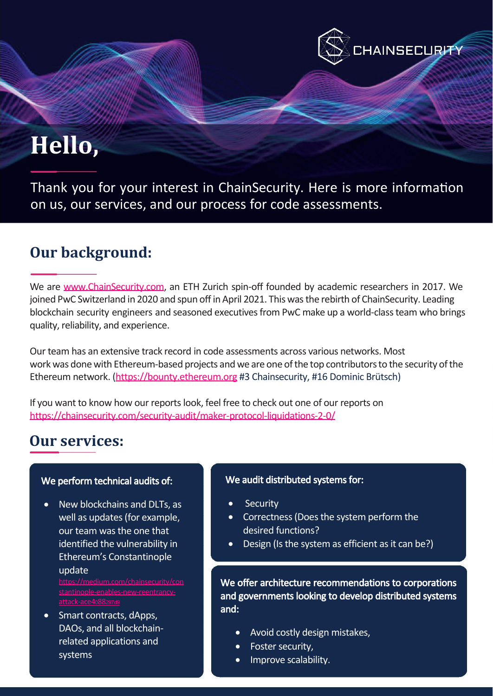# Hello,

Thank you for your interest in ChainSecurity. Here is more information on us, our services, and our process for code assessments.

## Our background:

We are [www.ChainSecurity.com,](http://www.chainsecurity.com/) an ETH Zurich spin-off founded by academic researchers in 2017. We joined PwC Switzerland in 2020 and spun off in April 2021. This was the rebirth of ChainSecurity. Leading blockchain security engineers and seasoned executivesfrom PwC make up a world-class team who brings quality, reliability, and experience.

Our team has an extensive track record in code assessments across various networks. Most work was done with [Ethereum-based](https://bounty.ethereum.org/) [projects](https://bounty.ethereum.org/) and we [are](https://bounty.ethereum.org/) [one](https://bounty.ethereum.org/) of the [top](https://bounty.ethereum.org/) contributors to [the](https://bounty.ethereum.org/) [sec](https://bounty.ethereum.org/)urity of the Ethereum network. [\(https://bounty.ethereum.org](https://bounty.ethereum.org/) [#3](https://bounty.ethereum.org/) [Chainsecurity,](https://bounty.ethereum.org/) [#16](https://bounty.ethereum.org/) [Dominic](https://bounty.ethereum.org/) [Brütsch\)](https://bounty.ethereum.org/)

If you want to know how our reports look, feel free to check out one of our reports on <https://chainsecurity.com/security-audit/maker-protocol-liquidations-2-0/>

## Our services:

### We perform technical audits of:

• New blockchains and DLTs, as well as updates (for example, our team was the one that identified the vulnerability in Ethereum's Constantinople update

[https://medium.com/chainsecurity/con](https://medium.com/chainsecurity/constantinople-enables-new-reentrancy-attack-ace4088297d9)

• Smart contracts, dApps, DAOs, and all blockchainrelated applications and systems

#### We audit distributed systems for:

- **Security**
- Correctness (Does the system perform the desired functions?
- Design (Is the system as efficient as it can be?)

**HAINSECURITY:** 

We offer architecture recommendations to corporations and governments looking to develop distributed systems and:

- Avoid costly design mistakes,
- Foster security,
- Improve scalability.